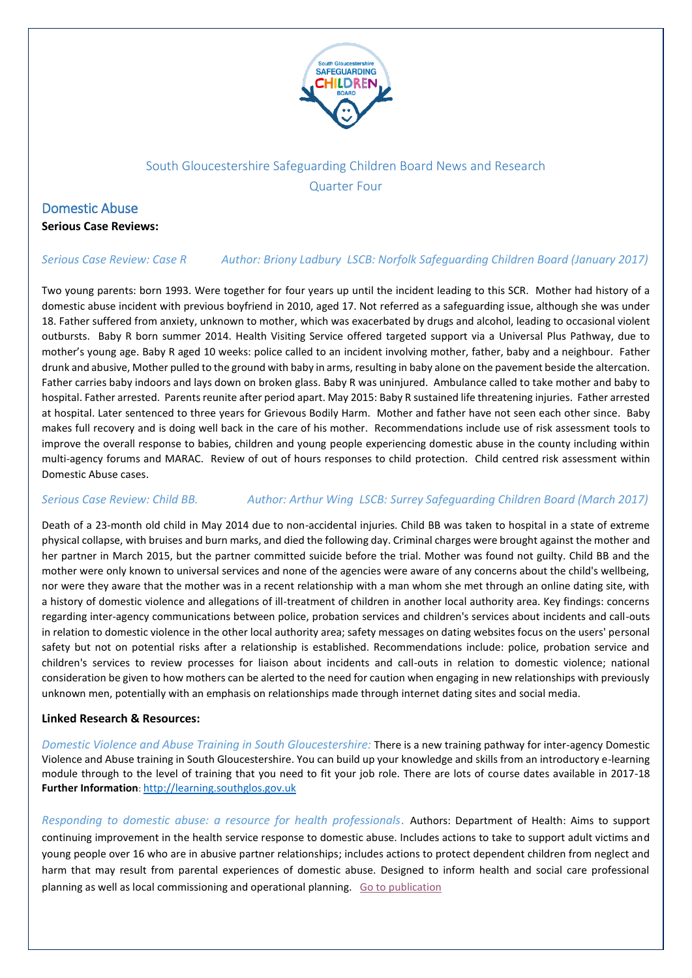

## South Gloucestershire Safeguarding Children Board News and Research Quarter Four

### Domestic Abuse

**Serious Case Reviews:**

### *Serious Case Review: Case R Author: Briony [Ladbury](https://library.nspcc.org.uk/HeritageScripts/Hapi.dll/search2?SearchTerm=BRIONY+LADBURY&Fields=A&Media=%23&Dispfmt=B&SearchPrecision=10&DataSetName=LIVEDATA) LSCB: [Norfolk Safeguarding Children Board](https://library.nspcc.org.uk/HeritageScripts/Hapi.dll/search2?SearchTerm=NORFOLK+SAFEGUARDING+CHILDREN+BOARD&Fields=P&Media=%23&Dispfmt=B&SearchPrecision=10&DataSetName=LIVEDATA) (January 2017)*

Two young parents: born 1993. Were together for four years up until the incident leading to this SCR. Mother had history of a domestic abuse incident with previous boyfriend in 2010, aged 17. Not referred as a safeguarding issue, although she was under 18. Father suffered from anxiety, unknown to mother, which was exacerbated by drugs and alcohol, leading to occasional violent outbursts. Baby R born summer 2014. Health Visiting Service offered targeted support via a Universal Plus Pathway, due to mother's young age. Baby R aged 10 weeks: police called to an incident involving mother, father, baby and a neighbour. Father drunk and abusive, Mother pulled to the ground with baby in arms, resulting in baby alone on the pavement beside the altercation. Father carries baby indoors and lays down on broken glass. Baby R was uninjured. Ambulance called to take mother and baby to hospital. Father arrested. Parents reunite after period apart. May 2015: Baby R sustained life threatening injuries. Father arrested at hospital. Later sentenced to three years for Grievous Bodily Harm. Mother and father have not seen each other since. Baby makes full recovery and is doing well back in the care of his mother. Recommendations include use of risk assessment tools to improve the overall response to babies, children and young people experiencing domestic abuse in the county including within multi-agency forums and MARAC. Review of out of hours responses to child protection. Child centred risk assessment within Domestic Abuse cases.

### *Serious Case Review: Child BB. Author: [Arthur](https://library.nspcc.org.uk/HeritageScripts/Hapi.dll/search2?SearchTerm=ARTHUR+WING&Fields=A&Media=%23&Dispfmt=B&SearchPrecision=10&DataSetName=LIVEDATA) Wing LSCB: [Surrey Safeguarding Children Board](https://library.nspcc.org.uk/HeritageScripts/Hapi.dll/search2?SearchTerm=SURREY+SAFEGUARDING+CHILDREN+BOARD&Fields=P&Media=%23&Dispfmt=B&SearchPrecision=10&DataSetName=LIVEDATA) (March 2017)*

Death of a 23-month old child in May 2014 due to non-accidental injuries. Child BB was taken to hospital in a state of extreme physical collapse, with bruises and burn marks, and died the following day. Criminal charges were brought against the mother and her partner in March 2015, but the partner committed suicide before the trial. Mother was found not guilty. Child BB and the mother were only known to universal services and none of the agencies were aware of any concerns about the child's wellbeing, nor were they aware that the mother was in a recent relationship with a man whom she met through an online dating site, with a history of domestic violence and allegations of ill-treatment of children in another local authority area. Key findings: concerns regarding inter-agency communications between police, probation services and children's services about incidents and call-outs in relation to domestic violence in the other local authority area; safety messages on dating websites focus on the users' personal safety but not on potential risks after a relationship is established. Recommendations include: police, probation service and children's services to review processes for liaison about incidents and call-outs in relation to domestic violence; national consideration be given to how mothers can be alerted to the need for caution when engaging in new relationships with previously unknown men, potentially with an emphasis on relationships made through internet dating sites and social media.

### **Linked Research & Resources:**

*Domestic Violence and Abuse Training in South Gloucestershire:* There is a new training pathway for inter-agency Domestic Violence and Abuse training in South Gloucestershire. You can build up your knowledge and skills from an introductory e-learning module through to the level of training that you need to fit your job role. There are lots of course dates available in 2017-18 **Further Information**: [http://learning.southglos.gov.uk](http://learning.southglos.gov.uk/)

*Responding to domestic abuse: a resource for health professionals*. Authors: Department of Health: Aims to support continuing improvement in the health service response to domestic abuse. Includes actions to take to support adult victims and young people over 16 who are in abusive partner relationships; includes actions to protect dependent children from neglect and harm that may result from parental experiences of domestic abuse. Designed to inform health and social care professional planning as well as local commissioning and operational planning. [Go to publication](http://email.nspcc.org.uk/c/1SAMJmt9Fyq8UPD9dWDQOWd9)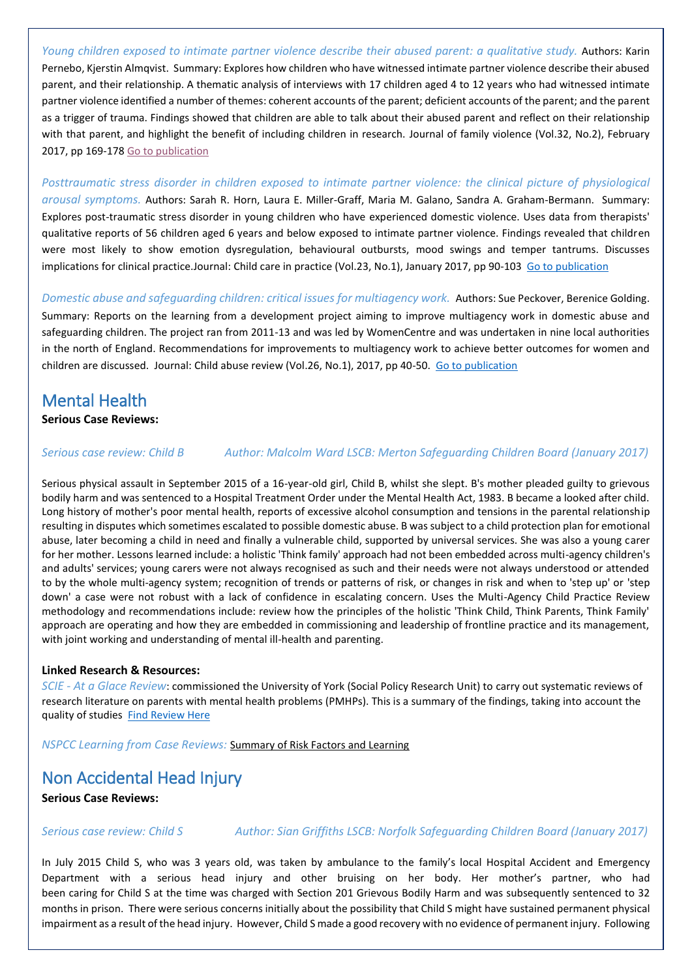*Young children exposed to intimate partner violence describe their abused parent: a qualitative study.* Authors: Karin Pernebo, Kjerstin Almqvist. Summary: Explores how children who have witnessed intimate partner violence describe their abused parent, and their relationship. A thematic analysis of interviews with 17 children aged 4 to 12 years who had witnessed intimate partner violence identified a number of themes: coherent accounts of the parent; deficient accounts of the parent; and the parent as a trigger of trauma. Findings showed that children are able to talk about their abused parent and reflect on their relationship with that parent, and highlight the benefit of including children in research. Journal of family violence (Vol.32, No.2), February 2017, pp 169-178 [Go to publication](http://email.nspcc.org.uk/c/1SANskIkalq8y3FiXPNrbepr)

*Posttraumatic stress disorder in children exposed to intimate partner violence: the clinical picture of physiological arousal symptoms.* Authors: Sarah R. Horn, Laura E. Miller-Graff, Maria M. Galano, Sandra A. Graham-Bermann. Summary: Explores post-traumatic stress disorder in young children who have experienced domestic violence. Uses data from therapists' qualitative reports of 56 children aged 6 years and below exposed to intimate partner violence. Findings revealed that children were most likely to show emotion dysregulation, behavioural outbursts, mood swings and temper tantrums. Discusses implications for clinical practice.Journal: Child care in practice (Vol.23, No.1), January 2017, pp 90-103 [Go to publication](http://www.tandfonline.com/doi/full/10.1080/13575279.2015.1126229)

*Domestic abuse and safeguarding children: critical issues for multiagency work.* Authors: Sue Peckover, Berenice Golding. Summary: Reports on the learning from a development project aiming to improve multiagency work in domestic abuse and safeguarding children. The project ran from 2011-13 and was led by WomenCentre and was undertaken in nine local authorities in the north of England. Recommendations for improvements to multiagency work to achieve better outcomes for women and children are discussed. Journal: Child abuse review (Vol.26, No.1), 2017, pp 40-50. [Go to publication](http://nspcc.msgfocus.com/c/1a8VwCGBBQHfS9q6c7huNn59e)

# Mental Health

### **Serious Case Reviews:**

*Serious case review: Child B Author[: Malcolm](https://library.nspcc.org.uk/HeritageScripts/Hapi.dll/search2?SearchTerm=MALCOLM+WARD&Fields=A&Media=%23&Dispfmt=B&SearchPrecision=10&DataSetName=LIVEDATA) Ward LSCB: [Merton Safeguarding Children Board](https://library.nspcc.org.uk/HeritageScripts/Hapi.dll/search2?SearchTerm=MERTON+SAFEGUARDING+CHILDREN+BOARD&Fields=P&Media=%23&Dispfmt=B&SearchPrecision=10&DataSetName=LIVEDATA) (January 2017)*

Serious physical assault in September 2015 of a 16-year-old girl, Child B, whilst she slept. B's mother pleaded guilty to grievous bodily harm and was sentenced to a Hospital Treatment Order under the Mental Health Act, 1983. B became a looked after child. Long history of mother's poor mental health, reports of excessive alcohol consumption and tensions in the parental relationship resulting in disputes which sometimes escalated to possible domestic abuse. B was subject to a child protection plan for emotional abuse, later becoming a child in need and finally a vulnerable child, supported by universal services. She was also a young carer for her mother. Lessons learned include: a holistic 'Think family' approach had not been embedded across multi-agency children's and adults' services; young carers were not always recognised as such and their needs were not always understood or attended to by the whole multi-agency system; recognition of trends or patterns of risk, or changes in risk and when to 'step up' or 'step down' a case were not robust with a lack of confidence in escalating concern. Uses the Multi-Agency Child Practice Review methodology and recommendations include: review how the principles of the holistic 'Think Child, Think Parents, Think Family' approach are operating and how they are embedded in commissioning and leadership of frontline practice and its management, with joint working and understanding of mental ill-health and parenting.

### **Linked Research & Resources:**

*SCIE - At a Glace Review*: commissioned the University of York (Social Policy Research Unit) to carry out systematic reviews of research literature on parents with mental health problems (PMHPs). This is a summary of the findings, taking into account the quality of studies [Find Review Here](http://www.scie.org.uk/publications/guides/guide30/files/YorkReviewAAG.pdf?res=true)

*NSPCC Learning from Case Reviews:* [Summary of Risk Factors and Learning](https://www.nspcc.org.uk/preventing-abuse/child-protection-system/case-reviews/learning/parents-mental-health-problem/)

## Non Accidental Head Injury

**Serious Case Reviews:**

*Serious case review: Child S Author: Sian [Griffiths](https://library.nspcc.org.uk/HeritageScripts/Hapi.dll/search2?SearchTerm=SIAN+GRIFFITHS&Fields=A&Media=%23&Dispfmt=B&SearchPrecision=10&DataSetName=LIVEDATA) LSCB: [Norfolk Safeguarding Children Board](https://library.nspcc.org.uk/HeritageScripts/Hapi.dll/search2?SearchTerm=NORFOLK+SAFEGUARDING+CHILDREN+BOARD&Fields=P&Media=%23&Dispfmt=B&SearchPrecision=10&DataSetName=LIVEDATA) (January 2017)*

In July 2015 Child S, who was 3 years old, was taken by ambulance to the family's local Hospital Accident and Emergency Department with a serious head injury and other bruising on her body. Her mother's partner, who had been caring for Child S at the time was charged with Section 201 Grievous Bodily Harm and was subsequently sentenced to 32 months in prison. There were serious concerns initially about the possibility that Child S might have sustained permanent physical impairment as a result of the head injury. However, Child S made a good recovery with no evidence of permanent injury. Following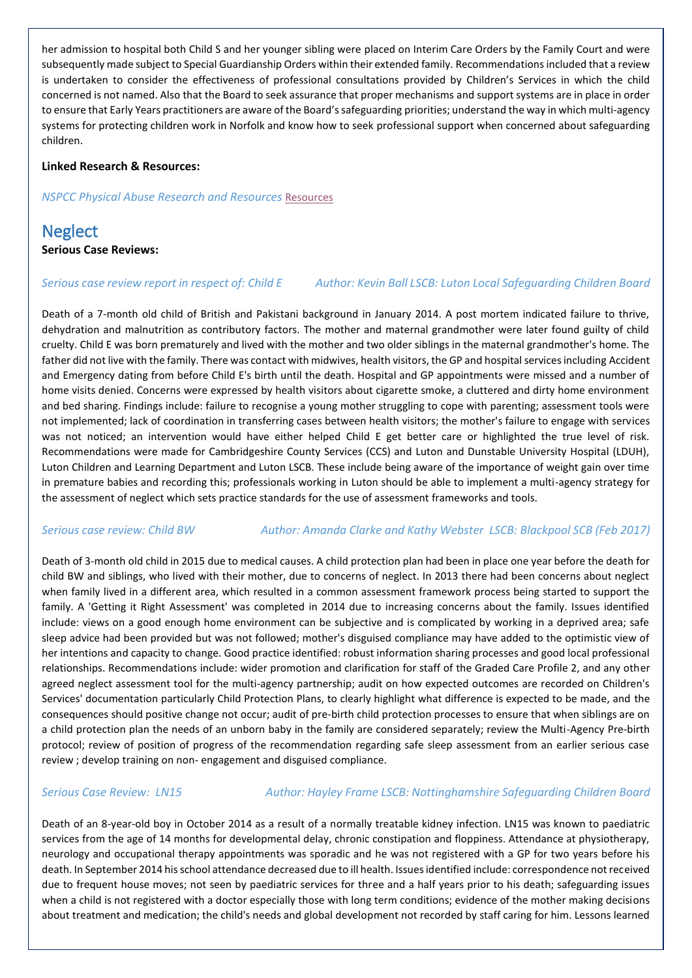her admission to hospital both Child S and her younger sibling were placed on Interim Care Orders by the Family Court and were subsequently made subject to Special Guardianship Orders within their extended family. Recommendationsincluded that a review is undertaken to consider the effectiveness of professional consultations provided by Children's Services in which the child concerned is not named. Also that the Board to seek assurance that proper mechanisms and support systems are in place in order to ensure that Early Years practitioners are aware of the Board's safeguarding priorities; understand the way in which multi-agency systems for protecting children work in Norfolk and know how to seek professional support when concerned about safeguarding children.

### **Linked Research & Resources:**

*NSPCC Physical Abuse Research and Resources* [Resources](https://www.nspcc.org.uk/preventing-abuse/child-abuse-and-neglect/physical-abuse/research-and-resources/%09)

## **Neglect**

### **Serious Case Reviews:**

### *Serious case review report in respect of: Child E Author[: Kevin](https://library.nspcc.org.uk/HeritageScripts/Hapi.dll/search2?SearchTerm=KEVIN+BALL&Fields=A&Media=%23&Dispfmt=B&SearchPrecision=10&DataSetName=LIVEDATA) Ball LSCB: [Luton Local Safeguarding Children Board](https://library.nspcc.org.uk/HeritageScripts/Hapi.dll/search2?SearchTerm=LUTON+LOCAL+SAFEGUARDING+CHILDREN+BOARD&Fields=P&Media=%23&Dispfmt=B&SearchPrecision=10&DataSetName=LIVEDATA)*

Death of a 7-month old child of British and Pakistani background in January 2014. A post mortem indicated failure to thrive, dehydration and malnutrition as contributory factors. The mother and maternal grandmother were later found guilty of child cruelty. Child E was born prematurely and lived with the mother and two older siblings in the maternal grandmother's home. The father did not live with the family. There was contact with midwives, health visitors, the GP and hospital services including Accident and Emergency dating from before Child E's birth until the death. Hospital and GP appointments were missed and a number of home visits denied. Concerns were expressed by health visitors about cigarette smoke, a cluttered and dirty home environment and bed sharing. Findings include: failure to recognise a young mother struggling to cope with parenting; assessment tools were not implemented; lack of coordination in transferring cases between health visitors; the mother's failure to engage with services was not noticed; an intervention would have either helped Child E get better care or highlighted the true level of risk. Recommendations were made for Cambridgeshire County Services (CCS) and Luton and Dunstable University Hospital (LDUH), Luton Children and Learning Department and Luton LSCB. These include being aware of the importance of weight gain over time in premature babies and recording this; professionals working in Luton should be able to implement a multi-agency strategy for the assessment of neglect which sets practice standards for the use of assessment frameworks and tools.

### *Serious case review: Child BW Author[: Amanda](https://library.nspcc.org.uk/HeritageScripts/Hapi.dll/search2?SearchTerm=AMANDA+CLARKE&Fields=A&Media=%23&Dispfmt=B&SearchPrecision=10&DataSetName=LIVEDATA) Clarke and Kathy [Webster](https://library.nspcc.org.uk/HeritageScripts/Hapi.dll/search2?SearchTerm=KATHY+WEBSTER&Fields=A&Media=%23&Dispfmt=B&SearchPrecision=10&DataSetName=LIVEDATA) LSCB[: Blackpool SCB](https://library.nspcc.org.uk/HeritageScripts/Hapi.dll/search2?SearchTerm=BLACKPOOL+SAFEGUARDING+CHILDREN+BOARD&Fields=P&Media=%23&Dispfmt=B&SearchPrecision=10&DataSetName=LIVEDATA) (Feb 2017)*

Death of 3-month old child in 2015 due to medical causes. A child protection plan had been in place one year before the death for child BW and siblings, who lived with their mother, due to concerns of neglect. In 2013 there had been concerns about neglect when family lived in a different area, which resulted in a common assessment framework process being started to support the family. A 'Getting it Right Assessment' was completed in 2014 due to increasing concerns about the family. Issues identified include: views on a good enough home environment can be subjective and is complicated by working in a deprived area; safe sleep advice had been provided but was not followed; mother's disguised compliance may have added to the optimistic view of her intentions and capacity to change. Good practice identified: robust information sharing processes and good local professional relationships. Recommendations include: wider promotion and clarification for staff of the Graded Care Profile 2, and any other agreed neglect assessment tool for the multi-agency partnership; audit on how expected outcomes are recorded on Children's Services' documentation particularly Child Protection Plans, to clearly highlight what difference is expected to be made, and the consequences should positive change not occur; audit of pre-birth child protection processes to ensure that when siblings are on a child protection plan the needs of an unborn baby in the family are considered separately; review the Multi-Agency Pre-birth protocol; review of position of progress of the recommendation regarding safe sleep assessment from an earlier serious case review ; develop training on non- engagement and disguised compliance.

### *Serious Case Review: LN15 Author: [Hayley](https://library.nspcc.org.uk/HeritageScripts/Hapi.dll/search2?SearchTerm=HAYLEY+FRAME&Fields=A&Media=%23&Dispfmt=B&SearchPrecision=10&DataSetName=LIVEDATA) Frame LSCB[: Nottinghamshire Safeguarding Children Board](https://library.nspcc.org.uk/HeritageScripts/Hapi.dll/search2?SearchTerm=NOTTINGHAMSHIRE+SAFEGUARDING+CHILDREN+BOARD&Fields=P&Media=%23&Dispfmt=B&SearchPrecision=10&DataSetName=LIVEDATA)*

Death of an 8-year-old boy in October 2014 as a result of a normally treatable kidney infection. LN15 was known to paediatric services from the age of 14 months for developmental delay, chronic constipation and floppiness. Attendance at physiotherapy, neurology and occupational therapy appointments was sporadic and he was not registered with a GP for two years before his death. In September 2014 his school attendance decreased due to ill health. Issues identified include: correspondence not received due to frequent house moves; not seen by paediatric services for three and a half years prior to his death; safeguarding issues when a child is not registered with a doctor especially those with long term conditions; evidence of the mother making decisions about treatment and medication; the child's needs and global development not recorded by staff caring for him. Lessons learned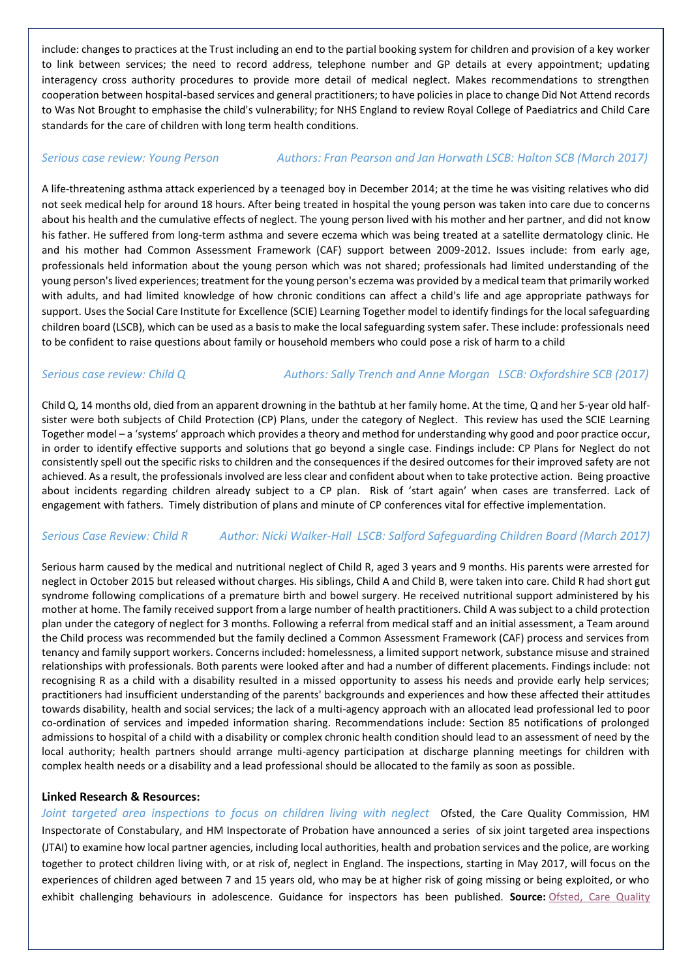include: changes to practices at the Trust including an end to the partial booking system for children and provision of a key worker to link between services; the need to record address, telephone number and GP details at every appointment; updating interagency cross authority procedures to provide more detail of medical neglect. Makes recommendations to strengthen cooperation between hospital-based services and general practitioners; to have policies in place to change Did Not Attend records to Was Not Brought to emphasise the child's vulnerability; for NHS England to review Royal College of Paediatrics and Child Care standards for the care of children with long term health conditions.

### *Serious case review: Young Person Authors: Fran [Pearson](https://library.nspcc.org.uk/HeritageScripts/Hapi.dll/search2?SearchTerm=FRAN+PEARSON&Fields=A&Media=%23&Dispfmt=B&SearchPrecision=10&DataSetName=LIVEDATA) and Jan [Horwath](https://library.nspcc.org.uk/HeritageScripts/Hapi.dll/search2?SearchTerm=JAN+HORWATH&Fields=A&Media=%23&Dispfmt=B&SearchPrecision=10&DataSetName=LIVEDATA) LSCB: Halton SCB (March 2017)*

A life-threatening asthma attack experienced by a teenaged boy in December 2014; at the time he was visiting relatives who did not seek medical help for around 18 hours. After being treated in hospital the young person was taken into care due to concerns about his health and the cumulative effects of neglect. The young person lived with his mother and her partner, and did not know his father. He suffered from long-term asthma and severe eczema which was being treated at a satellite dermatology clinic. He and his mother had Common Assessment Framework (CAF) support between 2009-2012. Issues include: from early age, professionals held information about the young person which was not shared; professionals had limited understanding of the young person's lived experiences; treatment for the young person's eczema was provided by a medical team that primarily worked with adults, and had limited knowledge of how chronic conditions can affect a child's life and age appropriate pathways for support. Uses the Social Care Institute for Excellence (SCIE) Learning Together model to identify findings for the local safeguarding children board (LSCB), which can be used as a basis to make the local safeguarding system safer. These include: professionals need to be confident to raise questions about family or household members who could pose a risk of harm to a child

### *Serious case review: Child Q Authors: Sally [Trench](https://library.nspcc.org.uk/HeritageScripts/Hapi.dll/search2?SearchTerm=SALLY+TRENCH&Fields=A&Media=%23&Dispfmt=B&SearchPrecision=10&DataSetName=LIVEDATA) and Anne [Morgan](https://library.nspcc.org.uk/HeritageScripts/Hapi.dll/search2?SearchTerm=ANNE+MORGAN&Fields=A&Media=%23&Dispfmt=B&SearchPrecision=10&DataSetName=LIVEDATA) LSCB[: Oxfordshire SCB](https://library.nspcc.org.uk/HeritageScripts/Hapi.dll/search2?SearchTerm=OXFORDSHIRE+SAFEGUARDING+CHILDREN+BOARD&Fields=P&Media=%23&Dispfmt=B&SearchPrecision=10&DataSetName=LIVEDATA) (2017)*

Child Q, 14 months old, died from an apparent drowning in the bathtub at her family home. At the time, Q and her 5-year old halfsister were both subjects of Child Protection (CP) Plans, under the category of Neglect. This review has used the SCIE Learning Together model – a 'systems' approach which provides a theory and method for understanding why good and poor practice occur, in order to identify effective supports and solutions that go beyond a single case. Findings include: CP Plans for Neglect do not consistently spell out the specific risks to children and the consequences if the desired outcomes for their improved safety are not achieved. As a result, the professionals involved are less clear and confident about when to take protective action. Being proactive about incidents regarding children already subject to a CP plan. Risk of 'start again' when cases are transferred. Lack of engagement with fathers. Timely distribution of plans and minute of CP conferences vital for effective implementation.

### *Serious Case Review: Child R Author: Nicki [Walker-Hall](https://library.nspcc.org.uk/HeritageScripts/Hapi.dll/search2?SearchTerm=NICKI+WALKER+HALL&Fields=A&Media=%23&Dispfmt=B&SearchPrecision=10&DataSetName=LIVEDATA) LSCB: [Salford Safeguarding Children Board](https://library.nspcc.org.uk/HeritageScripts/Hapi.dll/search2?SearchTerm=SALFORD+SAFEGUARDING+CHILDREN+BOARD&Fields=P&Media=%23&Dispfmt=B&SearchPrecision=10&DataSetName=LIVEDATA) (March 2017)*

Serious harm caused by the medical and nutritional neglect of Child R, aged 3 years and 9 months. His parents were arrested for neglect in October 2015 but released without charges. His siblings, Child A and Child B, were taken into care. Child R had short gut syndrome following complications of a premature birth and bowel surgery. He received nutritional support administered by his mother at home. The family received support from a large number of health practitioners. Child A was subject to a child protection plan under the category of neglect for 3 months. Following a referral from medical staff and an initial assessment, a Team around the Child process was recommended but the family declined a Common Assessment Framework (CAF) process and services from tenancy and family support workers. Concerns included: homelessness, a limited support network, substance misuse and strained relationships with professionals. Both parents were looked after and had a number of different placements. Findings include: not recognising R as a child with a disability resulted in a missed opportunity to assess his needs and provide early help services; practitioners had insufficient understanding of the parents' backgrounds and experiences and how these affected their attitudes towards disability, health and social services; the lack of a multi-agency approach with an allocated lead professional led to poor co-ordination of services and impeded information sharing. Recommendations include: Section 85 notifications of prolonged admissions to hospital of a child with a disability or complex chronic health condition should lead to an assessment of need by the local authority; health partners should arrange multi-agency participation at discharge planning meetings for children with complex health needs or a disability and a lead professional should be allocated to the family as soon as possible.

### **Linked Research & Resources:**

Joint targeted area inspections to focus on children living with neglect Ofsted, the Care Quality Commission, HM Inspectorate of Constabulary, and HM Inspectorate of Probation have announced a series of six joint targeted area inspections (JTAI) to examine how local partner agencies, including local authorities, health and probation services and the police, are working together to protect children living with, or at risk of, neglect in England. The inspections, starting in May 2017, will focus on the experiences of children aged between 7 and 15 years old, who may be at higher risk of going missing or being exploited, or who exhibit challenging behaviours in adolescence. Guidance for inspectors has been published. **Source:** [Ofsted, Care Quality](https://www.gov.uk/government/news/series-of-inspections-to-focus-on-children-living-with-neglect)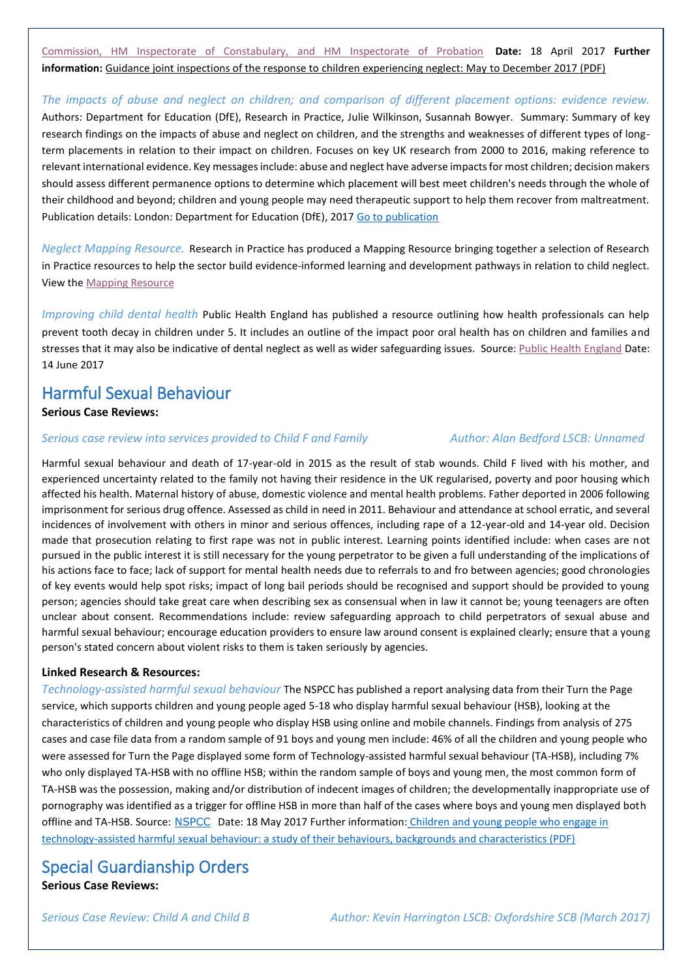[Commission, HM Inspectorate of Constabulary, and HM Inspectorate of Probation](https://www.gov.uk/government/news/series-of-inspections-to-focus-on-children-living-with-neglect) **Date:** 18 April 2017 **Further information:** [Guidance joint inspections of the response to children experiencing neglect: May](https://www.gov.uk/government/uploads/system/uploads/attachment_data/file/608794/Guidance_for_joint_targeted_area_inspections_on_the_theme_children_living_with_neglect.pdf) to December 2017 (PDF)

*The impacts of abuse and neglect on children; and comparison of different placement options: evidence review.*  Authors: Department for Education (DfE), Research in Practice, Julie Wilkinson, Susannah Bowyer. Summary: Summary of key research findings on the impacts of abuse and neglect on children, and the strengths and weaknesses of different types of longterm placements in relation to their impact on children. Focuses on key UK research from 2000 to 2016, making reference to relevant international evidence. Key messages include: abuse and neglect have adverse impacts for most children; decision makers should assess different permanence options to determine which placement will best meet children's needs through the whole of their childhood and beyond; children and young people may need therapeutic support to help them recover from maltreatment. Publication details: London: Department for Education (DfE), 2017 [Go to publication](https://www.gov.uk/government/uploads/system/uploads/attachment_data/file/602148/Childhood_neglect_and_abuse_comparing_placement_options.pdf)

*Neglect Mapping Resource.* Research in Practice has produced a Mapping Resource bringing together a selection of Research in Practice resources to help the sector build evidence-informed learning and development pathways in relation to child neglect. View the [Mapping Resource](https://www.rip.org.uk/resources/publications/delivery-programme/neglect-mapping-resource-open-access/?utm_source=Non-Partner+e-bulletin&utm_campaign=b3632921c4-Non_Partner_ebulletin_April_2017&utm_medium=email&utm_term=0_4146f9bdbb-b3632921c4-38064801)

*Improving child dental health* Public Health England has published a resource outlining how health professionals can help prevent tooth decay in children under 5. It includes an outline of the impact poor oral health has on children and families and stresses that it may also be indicative of dental neglect as well as wider safeguarding issues. Source[: Public Health England](https://www.gov.uk/government/publications/improving-the-oral-health-of-children-cost-effective-commissioning) Date: 14 June 2017

## Harmful Sexual Behaviour

### **Serious Case Reviews:**

### *Serious case review into services provided to Child F and Family Author: Alan [Bedford](https://library.nspcc.org.uk/HeritageScripts/Hapi.dll/search2?SearchTerm=ALAN+BEDFORD&Fields=A&Media=%23&Dispfmt=B&SearchPrecision=10&DataSetName=LIVEDATA) LSCB: Unnamed*

Harmful sexual behaviour and death of 17-year-old in 2015 as the result of stab wounds. Child F lived with his mother, and experienced uncertainty related to the family not having their residence in the UK regularised, poverty and poor housing which affected his health. Maternal history of abuse, domestic violence and mental health problems. Father deported in 2006 following imprisonment for serious drug offence. Assessed as child in need in 2011. Behaviour and attendance at school erratic, and several incidences of involvement with others in minor and serious offences, including rape of a 12-year-old and 14-year old. Decision made that prosecution relating to first rape was not in public interest. Learning points identified include: when cases are not pursued in the public interest it is still necessary for the young perpetrator to be given a full understanding of the implications of his actions face to face; lack of support for mental health needs due to referrals to and fro between agencies; good chronologies of key events would help spot risks; impact of long bail periods should be recognised and support should be provided to young person; agencies should take great care when describing sex as consensual when in law it cannot be; young teenagers are often unclear about consent. Recommendations include: review safeguarding approach to child perpetrators of sexual abuse and harmful sexual behaviour; encourage education providers to ensure law around consent is explained clearly; ensure that a young person's stated concern about violent risks to them is taken seriously by agencies.

### **Linked Research & Resources:**

*Technology-assisted harmful sexual behaviour* The NSPCC has published a report analysing data from their Turn the Page service, which supports children and young people aged 5-18 who display harmful sexual behaviour (HSB), looking at the characteristics of children and young people who display HSB using online and mobile channels. Findings from analysis of 275 cases and case file data from a random sample of 91 boys and young men include: 46% of all the children and young people who were assessed for Turn the Page displayed some form of Technology-assisted harmful sexual behaviour (TA-HSB), including 7% who only displayed TA-HSB with no offline HSB; within the random sample of boys and young men, the most common form of TA-HSB was the possession, making and/or distribution of indecent images of children; the developmentally inappropriate use of pornography was identified as a trigger for offline HSB in more than half of the cases where boys and young men displayed both offline and TA-HSB. Source: [NSPCC](https://www.nspcc.org.uk/services-and-resources/research-and-resources/2017/exploring-technology-assisted-harmful-sexual-behaviour/) Date: 18 May 2017 Further information[:](https://www.nspcc.org.uk/globalassets/documents/research-reports/exploring-technology-assisted-harmful-sexual-behaviour.pdf) [Children and young people who engage in](https://www.nspcc.org.uk/globalassets/documents/research-reports/exploring-technology-assisted-harmful-sexual-behaviour.pdf)  [technology-assisted harmful sexual behaviour: a study of their behaviours, backgrounds and characteristics \(PDF\)](https://www.nspcc.org.uk/globalassets/documents/research-reports/exploring-technology-assisted-harmful-sexual-behaviour.pdf)

## Special Guardianship Orders

**Serious Case Reviews:**

*Serious Case Review: Child A and Child B Author: Kevin [Harrington](https://library.nspcc.org.uk/HeritageScripts/Hapi.dll/search2?SearchTerm=KEVIN+HARRINGTON&Fields=A&Media=%23&Dispfmt=B&SearchPrecision=10&DataSetName=LIVEDATA) LSCB: [Oxfordshire SCB](https://library.nspcc.org.uk/HeritageScripts/Hapi.dll/search2?SearchTerm=OXFORDSHIRE+SAFEGUARDING+CHILDREN+BOARD&Fields=P&Media=%23&Dispfmt=B&SearchPrecision=10&DataSetName=LIVEDATA) (March 2017)*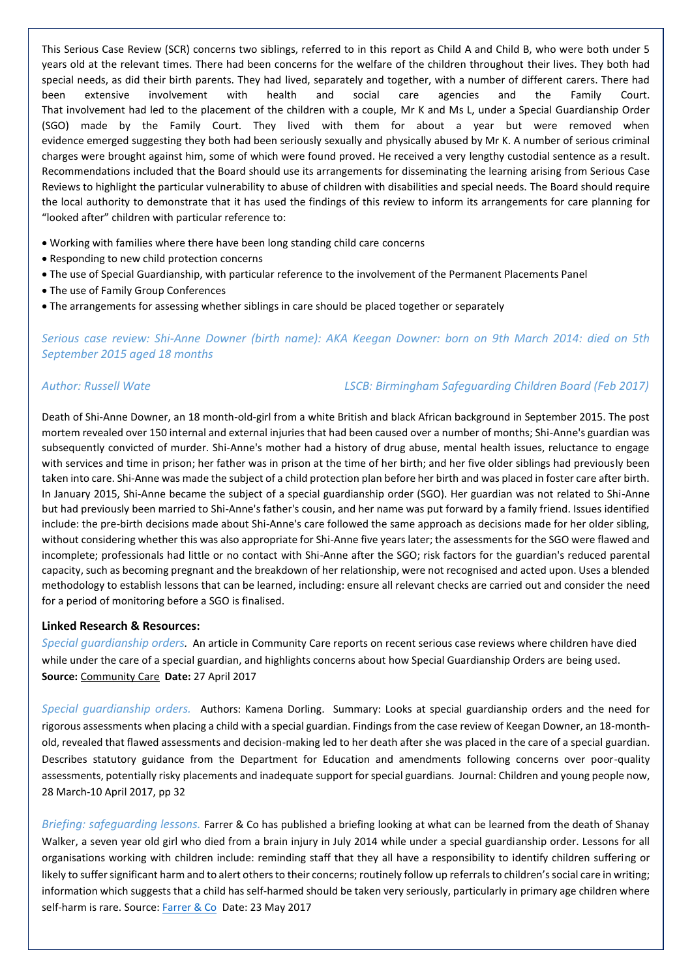This Serious Case Review (SCR) concerns two siblings, referred to in this report as Child A and Child B, who were both under 5 years old at the relevant times. There had been concerns for the welfare of the children throughout their lives. They both had special needs, as did their birth parents. They had lived, separately and together, with a number of different carers. There had been extensive involvement with health and social care agencies and the Family Court. That involvement had led to the placement of the children with a couple, Mr K and Ms L, under a Special Guardianship Order (SGO) made by the Family Court. They lived with them for about a year but were removed when evidence emerged suggesting they both had been seriously sexually and physically abused by Mr K. A number of serious criminal charges were brought against him, some of which were found proved. He received a very lengthy custodial sentence as a result. Recommendations included that the Board should use its arrangements for disseminating the learning arising from Serious Case Reviews to highlight the particular vulnerability to abuse of children with disabilities and special needs. The Board should require the local authority to demonstrate that it has used the findings of this review to inform its arrangements for care planning for "looked after" children with particular reference to:

- Working with families where there have been long standing child care concerns
- Responding to new child protection concerns
- The use of Special Guardianship, with particular reference to the involvement of the Permanent Placements Panel
- The use of Family Group Conferences
- The arrangements for assessing whether siblings in care should be placed together or separately

*Serious case review: Shi-Anne Downer (birth name): AKA Keegan Downer: born on 9th March 2014: died on 5th September 2015 aged 18 months*

*Author: [Russell](https://library.nspcc.org.uk/HeritageScripts/Hapi.dll/search2?SearchTerm=RUSSELL+WATE&Fields=A&Media=%23&Dispfmt=B&SearchPrecision=10&DataSetName=LIVEDATA) Wate LSCB: [Birmingham Safeguarding Children Board](https://library.nspcc.org.uk/HeritageScripts/Hapi.dll/search2?SearchTerm=BIRMINGHAM+SAFEGUARDING+CHILDREN+BOARD&Fields=P&Media=%23&Dispfmt=B&SearchPrecision=10&DataSetName=LIVEDATA) (Feb 2017)*

Death of Shi-Anne Downer, an 18 month-old-girl from a white British and black African background in September 2015. The post mortem revealed over 150 internal and external injuries that had been caused over a number of months; Shi-Anne's guardian was subsequently convicted of murder. Shi-Anne's mother had a history of drug abuse, mental health issues, reluctance to engage with services and time in prison; her father was in prison at the time of her birth; and her five older siblings had previously been taken into care. Shi-Anne was made the subject of a child protection plan before her birth and was placed in foster care after birth. In January 2015, Shi-Anne became the subject of a special guardianship order (SGO). Her guardian was not related to Shi-Anne but had previously been married to Shi-Anne's father's cousin, and her name was put forward by a family friend. Issues identified include: the pre-birth decisions made about Shi-Anne's care followed the same approach as decisions made for her older sibling, without considering whether this was also appropriate for Shi-Anne five years later; the assessments for the SGO were flawed and incomplete; professionals had little or no contact with Shi-Anne after the SGO; risk factors for the guardian's reduced parental capacity, such as becoming pregnant and the breakdown of her relationship, were not recognised and acted upon. Uses a blended methodology to establish lessons that can be learned, including: ensure all relevant checks are carried out and consider the need for a period of monitoring before a SGO is finalised.

### **Linked Research & Resources:**

*Special guardianship orders.* An article in Community Care reports on recent serious case reviews where children have died while under the care of a special guardian, and highlights concerns about how Special Guardianship Orders are being used. **Source:** [Community Care](http://www.communitycare.co.uk/2017/04/27/special-guardianship-orders-used-safely/) **Date:** 27 April 2017

*Special guardianship orders.* Authors: Kamena Dorling. Summary: Looks at special guardianship orders and the need for rigorous assessments when placing a child with a special guardian. Findings from the case review of Keegan Downer, an 18-monthold, revealed that flawed assessments and decision-making led to her death after she was placed in the care of a special guardian. Describes statutory guidance from the Department for Education and amendments following concerns over poor-quality assessments, potentially risky placements and inadequate support for special guardians. Journal: Children and young people now, 28 March-10 April 2017, pp 32

*Briefing: safeguarding lessons.* Farrer & Co has published a briefing looking at what can be learned from the death of Shanay Walker, a seven year old girl who died from a brain injury in July 2014 while under a special guardianship order. Lessons for all organisations working with children include: reminding staff that they all have a responsibility to identify children suffering or likely to suffer significant harm and to alert others to their concerns; routinely follow up referrals to children's social care in writing; information which suggests that a child has self-harmed should be taken very seriously, particularly in primary age children where self-harm is rare. Source: [Farrer & Co](http://www.farrer.co.uk/News/Briefings/What-can-be-learned-from-the-death-of-Shanay-Walker/?utm_source=vuture&utm_medium=email&utm_campaign=what%20can%20be%20learned%20from%20the%20death%20of%20shanay%20walker%3f_25%20may%202017) Date: 23 May 2017